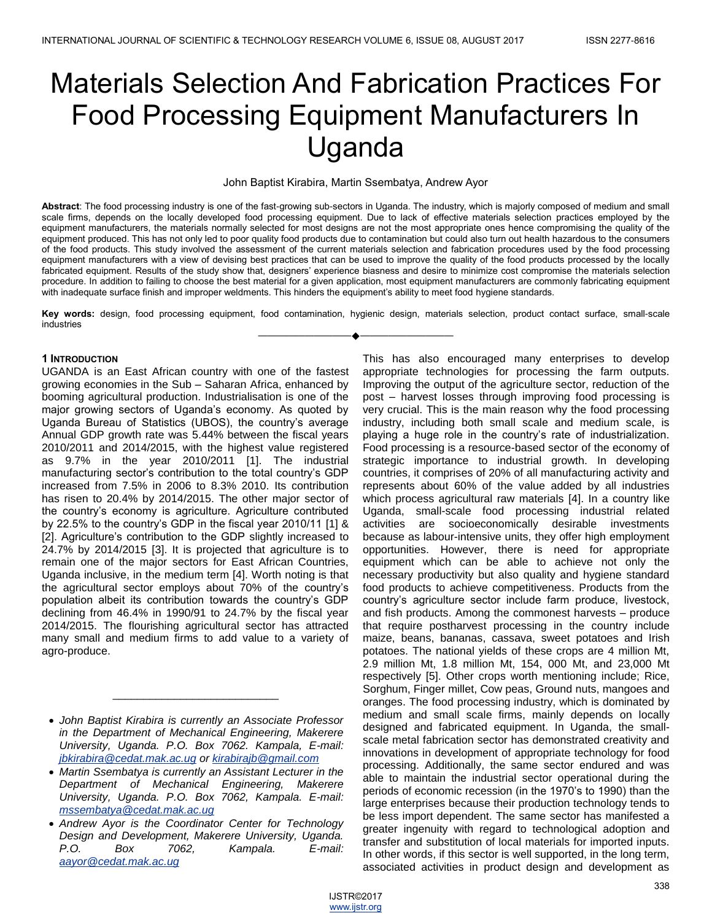# Materials Selection And Fabrication Practices For Food Processing Equipment Manufacturers In Uganda

#### John Baptist Kirabira, Martin Ssembatya, Andrew Ayor

**Abstract**: The food processing industry is one of the fast-growing sub-sectors in Uganda. The industry, which is majorly composed of medium and small scale firms, depends on the locally developed food processing equipment. Due to lack of effective materials selection practices employed by the equipment manufacturers, the materials normally selected for most designs are not the most appropriate ones hence compromising the quality of the equipment produced. This has not only led to poor quality food products due to contamination but could also turn out health hazardous to the consumers of the food products. This study involved the assessment of the current materials selection and fabrication procedures used by the food processing equipment manufacturers with a view of devising best practices that can be used to improve the quality of the food products processed by the locally fabricated equipment. Results of the study show that, designers' experience biasness and desire to minimize cost compromise the materials selection procedure. In addition to failing to choose the best material for a given application, most equipment manufacturers are commonly fabricating equipment with inadequate surface finish and improper weldments. This hinders the equipment's ability to meet food hygiene standards.

**Key words:** design, food processing equipment, food contamination, hygienic design, materials selection, product contact surface, small-scale industries ————————————————————

## **1 INTRODUCTION**

UGANDA is an East African country with one of the fastest growing economies in the Sub – Saharan Africa, enhanced by booming agricultural production. Industrialisation is one of the major growing sectors of Uganda's economy. As quoted by Uganda Bureau of Statistics (UBOS), the country's average Annual GDP growth rate was 5.44% between the fiscal years 2010/2011 and 2014/2015, with the highest value registered as 9.7% in the year 2010/2011 [1]. The industrial manufacturing sector's contribution to the total country's GDP increased from 7.5% in 2006 to 8.3% 2010. Its contribution has risen to 20.4% by 2014/2015. The other major sector of the country's economy is agriculture. Agriculture contributed by 22.5% to the country's GDP in the fiscal year 2010/11 [1] & [2]. Agriculture's contribution to the GDP slightly increased to 24.7% by 2014/2015 [3]. It is projected that agriculture is to remain one of the major sectors for East African Countries, Uganda inclusive, in the medium term [4]. Worth noting is that the agricultural sector employs about 70% of the country's population albeit its contribution towards the country's GDP declining from 46.4% in 1990/91 to 24.7% by the fiscal year 2014/2015. The flourishing agricultural sector has attracted many small and medium firms to add value to a variety of agro-produce.

*\_\_\_\_\_\_\_\_\_\_\_\_\_\_\_\_\_\_\_\_\_\_\_\_\_\_\_*

This has also encouraged many enterprises to develop appropriate technologies for processing the farm outputs. Improving the output of the agriculture sector, reduction of the post – harvest losses through improving food processing is very crucial. This is the main reason why the food processing industry, including both small scale and medium scale, is playing a huge role in the country's rate of industrialization. Food processing is a resource-based sector of the economy of strategic importance to industrial growth. In developing countries, it comprises of 20% of all manufacturing activity and represents about 60% of the value added by all industries which process agricultural raw materials [4]. In a country like Uganda, small-scale food processing industrial related activities are socioeconomically desirable investments because as labour-intensive units, they offer high employment opportunities. However, there is need for appropriate equipment which can be able to achieve not only the necessary productivity but also quality and hygiene standard food products to achieve competitiveness. Products from the country's agriculture sector include farm produce, livestock, and fish products. Among the commonest harvests – produce that require postharvest processing in the country include maize, beans, bananas, cassava, sweet potatoes and Irish potatoes. The national yields of these crops are 4 million Mt, 2.9 million Mt, 1.8 million Mt, 154, 000 Mt, and 23,000 Mt respectively [5]. Other crops worth mentioning include; Rice, Sorghum, Finger millet, Cow peas, Ground nuts, mangoes and oranges. The food processing industry, which is dominated by medium and small scale firms, mainly depends on locally designed and fabricated equipment. In Uganda, the smallscale metal fabrication sector has demonstrated creativity and innovations in development of appropriate technology for food processing. Additionally, the same sector endured and was able to maintain the industrial sector operational during the periods of economic recession (in the 1970's to 1990) than the large enterprises because their production technology tends to be less import dependent. The same sector has manifested a greater ingenuity with regard to technological adoption and transfer and substitution of local materials for imported inputs. In other words, if this sector is well supported, in the long term, associated activities in product design and development as

*John Baptist Kirabira is currently an Associate Professor in the Department of Mechanical Engineering, Makerere University, Uganda. P.O. Box 7062. Kampala, E-mail: jbkirabira@cedat.mak.ac.ug or kirabirajb@gmail.com* 

*Martin Ssembatya is currently an Assistant Lecturer in the Department of Mechanical Engineering, Makerere University, Uganda. P.O. Box 7062, Kampala. E-mail: mssembatya@cedat.mak.ac.ug*

*Andrew Ayor is the Coordinator Center for Technology Design and Development, Makerere University, Uganda. P.O. Box 7062, Kampala. E-mail: aayor@cedat.mak.ac.ug*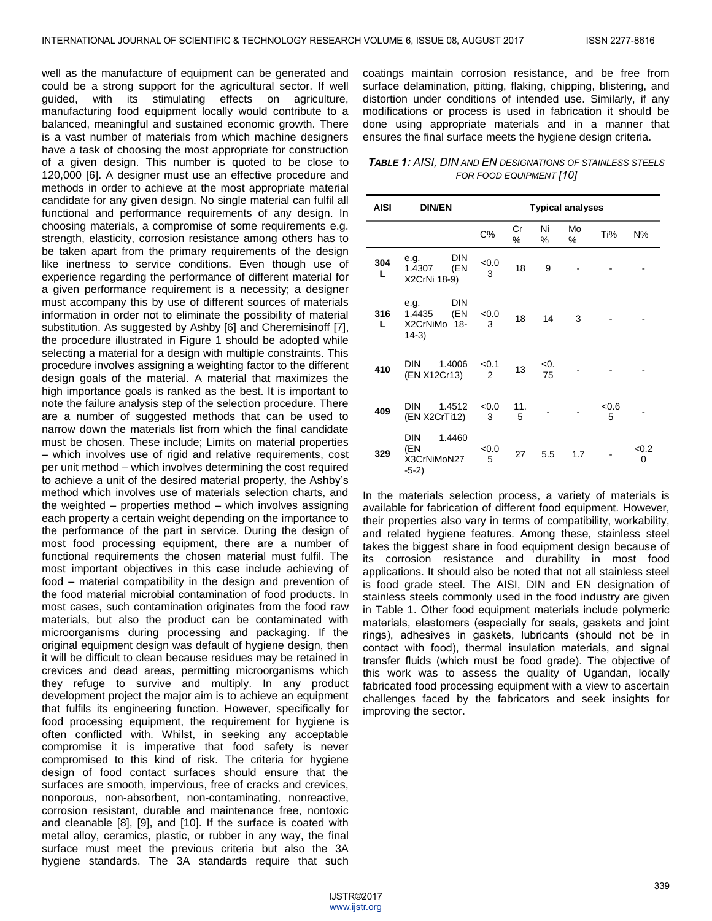well as the manufacture of equipment can be generated and could be a strong support for the agricultural sector. If well guided, with its stimulating effects on agriculture, manufacturing food equipment locally would contribute to a balanced, meaningful and sustained economic growth. There is a vast number of materials from which machine designers have a task of choosing the most appropriate for construction of a given design. This number is quoted to be close to 120,000 [6]. A designer must use an effective procedure and methods in order to achieve at the most appropriate material candidate for any given design. No single material can fulfil all functional and performance requirements of any design. In choosing materials, a compromise of some requirements e.g. strength, elasticity, corrosion resistance among others has to be taken apart from the primary requirements of the design like inertness to service conditions. Even though use of experience regarding the performance of different material for a given performance requirement is a necessity; a designer must accompany this by use of different sources of materials information in order not to eliminate the possibility of material substitution. As suggested by Ashby [6] and Cheremisinoff [7], the procedure illustrated in Figure 1 should be adopted while selecting a material for a design with multiple constraints. This procedure involves assigning a weighting factor to the different design goals of the material. A material that maximizes the high importance goals is ranked as the best. It is important to note the failure analysis step of the selection procedure. There are a number of suggested methods that can be used to narrow down the materials list from which the final candidate must be chosen. These include; Limits on material properties – which involves use of rigid and relative requirements, cost per unit method – which involves determining the cost required to achieve a unit of the desired material property, the Ashby's method which involves use of materials selection charts, and the weighted – properties method – which involves assigning each property a certain weight depending on the importance to the performance of the part in service. During the design of most food processing equipment, there are a number of functional requirements the chosen material must fulfil. The most important objectives in this case include achieving of food – material compatibility in the design and prevention of the food material microbial contamination of food products. In most cases, such contamination originates from the food raw materials, but also the product can be contaminated with microorganisms during processing and packaging. If the original equipment design was default of hygiene design, then it will be difficult to clean because residues may be retained in crevices and dead areas, permitting microorganisms which they refuge to survive and multiply. In any product development project the major aim is to achieve an equipment that fulfils its engineering function. However, specifically for food processing equipment, the requirement for hygiene is often conflicted with. Whilst, in seeking any acceptable compromise it is imperative that food safety is never compromised to this kind of risk. The criteria for hygiene design of food contact surfaces should ensure that the surfaces are smooth, impervious, free of cracks and crevices, nonporous, non-absorbent, non-contaminating, nonreactive, corrosion resistant, durable and maintenance free, nontoxic and cleanable [8], [9], and [10]. If the surface is coated with metal alloy, ceramics, plastic, or rubber in any way, the final surface must meet the previous criteria but also the 3A hygiene standards. The 3A standards require that such

coatings maintain corrosion resistance, and be free from surface delamination, pitting, flaking, chipping, blistering, and distortion under conditions of intended use. Similarly, if any modifications or process is used in fabrication it should be done using appropriate materials and in a manner that ensures the final surface meets the hygiene design criteria.

*TABLE 1: AISI, DIN AND EN DESIGNATIONS OF STAINLESS STEELS FOR FOOD EQUIPMENT [10]*

| <b>AISI</b> | <b>DIN/EN</b>                                                  | <b>Typical analyses</b> |          |           |         |           |            |
|-------------|----------------------------------------------------------------|-------------------------|----------|-----------|---------|-----------|------------|
|             |                                                                | $C\%$                   | Cr<br>%  | Ni<br>%   | Mo<br>% | Ti%       | N%         |
| 304<br>L    | DIN<br>e.g.<br>(EN<br>1.4307<br>X2CrNi 18-9)                   | <0.0<br>3               | 18       | 9         |         |           |            |
| 316<br>L    | <b>DIN</b><br>e.g.<br>(EN<br>1.4435<br>X2CrNiMo 18-<br>$14-3)$ | < 0.0<br>3              | 18       | 14        | 3       |           |            |
| 410         | <b>DIN</b><br>1.4006<br>(EN X12Cr13)                           | < 0.1<br>2              | 13       | <0.<br>75 |         |           |            |
| 409         | <b>DIN</b><br>1.4512<br>(EN X2CrTi12)                          | <0.0<br>3               | 11.<br>5 |           |         | <0.6<br>5 |            |
| 329         | DIN<br>1.4460<br>(EN<br>X3CrNiMoN27<br>$-5-2)$                 | < 0.0<br>5              | 27       | 5.5       | 1.7     |           | < 0.2<br>0 |

In the materials selection process, a variety of materials is available for fabrication of different food equipment. However, their properties also vary in terms of compatibility, workability, and related hygiene features. Among these, stainless steel takes the biggest share in food equipment design because of its corrosion resistance and durability in most food applications. It should also be noted that not all stainless steel is food grade steel. The AISI, DIN and EN designation of stainless steels commonly used in the food industry are given in Table 1. Other food equipment materials include polymeric materials, elastomers (especially for seals, gaskets and joint rings), adhesives in gaskets, lubricants (should not be in contact with food), thermal insulation materials, and signal transfer fluids (which must be food grade). The objective of this work was to assess the quality of Ugandan, locally fabricated food processing equipment with a view to ascertain challenges faced by the fabricators and seek insights for improving the sector.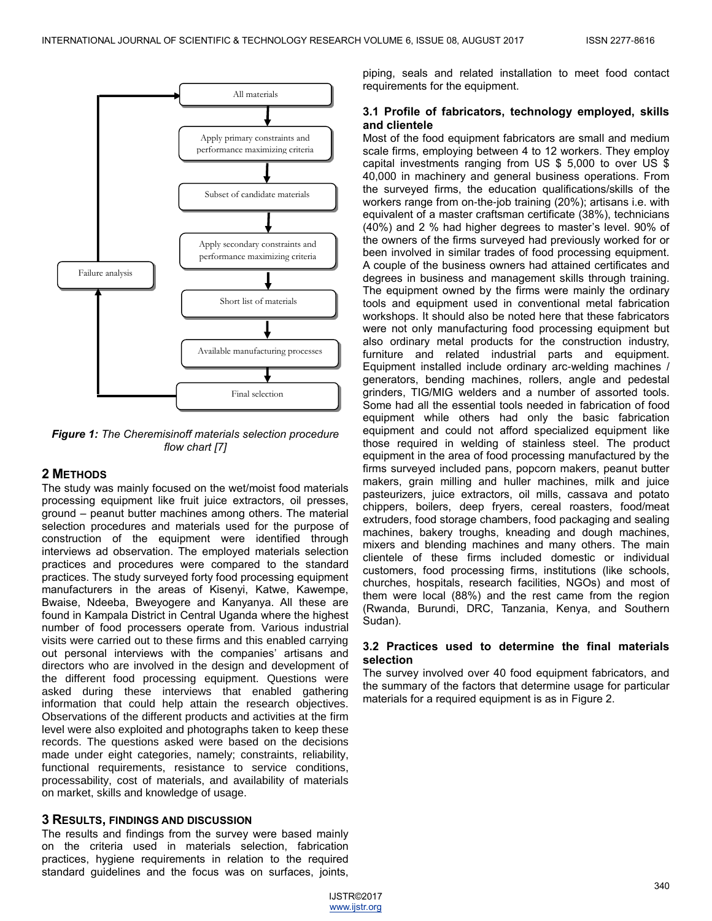

*Figure 1: The Cheremisinoff materials selection procedure flow chart [7]*

# **2 METHODS**

The study was mainly focused on the wet/moist food materials processing equipment like fruit juice extractors, oil presses, ground – peanut butter machines among others. The material selection procedures and materials used for the purpose of construction of the equipment were identified through interviews ad observation. The employed materials selection practices and procedures were compared to the standard practices. The study surveyed forty food processing equipment manufacturers in the areas of Kisenyi, Katwe, Kawempe, Bwaise, Ndeeba, Bweyogere and Kanyanya. All these are found in Kampala District in Central Uganda where the highest number of food processers operate from. Various industrial visits were carried out to these firms and this enabled carrying out personal interviews with the companies' artisans and directors who are involved in the design and development of the different food processing equipment. Questions were asked during these interviews that enabled gathering information that could help attain the research objectives. Observations of the different products and activities at the firm level were also exploited and photographs taken to keep these records. The questions asked were based on the decisions made under eight categories, namely; constraints, reliability, functional requirements, resistance to service conditions, processability, cost of materials, and availability of materials on market, skills and knowledge of usage.

# **3 RESULTS, FINDINGS AND DISCUSSION**

The results and findings from the survey were based mainly on the criteria used in materials selection, fabrication practices, hygiene requirements in relation to the required standard guidelines and the focus was on surfaces, joints,

piping, seals and related installation to meet food contact requirements for the equipment.

# **3.1 Profile of fabricators, technology employed, skills and clientele**

Most of the food equipment fabricators are small and medium scale firms, employing between 4 to 12 workers. They employ capital investments ranging from US \$ 5,000 to over US \$ 40,000 in machinery and general business operations. From the surveyed firms, the education qualifications/skills of the workers range from on-the-job training (20%); artisans i.e. with equivalent of a master craftsman certificate (38%), technicians (40%) and 2 % had higher degrees to master's level. 90% of the owners of the firms surveyed had previously worked for or been involved in similar trades of food processing equipment. A couple of the business owners had attained certificates and degrees in business and management skills through training. The equipment owned by the firms were mainly the ordinary tools and equipment used in conventional metal fabrication workshops. It should also be noted here that these fabricators were not only manufacturing food processing equipment but also ordinary metal products for the construction industry, furniture and related industrial parts and equipment. Equipment installed include ordinary arc-welding machines / generators, bending machines, rollers, angle and pedestal grinders, TIG/MIG welders and a number of assorted tools. Some had all the essential tools needed in fabrication of food equipment while others had only the basic fabrication equipment and could not afford specialized equipment like those required in welding of stainless steel. The product equipment in the area of food processing manufactured by the firms surveyed included pans, popcorn makers, peanut butter makers, grain milling and huller machines, milk and juice pasteurizers, juice extractors, oil mills, cassava and potato chippers, boilers, deep fryers, cereal roasters, food/meat extruders, food storage chambers, food packaging and sealing machines, bakery troughs, kneading and dough machines, mixers and blending machines and many others. The main clientele of these firms included domestic or individual customers, food processing firms, institutions (like schools, churches, hospitals, research facilities, NGOs) and most of them were local (88%) and the rest came from the region (Rwanda, Burundi, DRC, Tanzania, Kenya, and Southern Sudan).

# **3.2 Practices used to determine the final materials selection**

The survey involved over 40 food equipment fabricators, and the summary of the factors that determine usage for particular materials for a required equipment is as in Figure 2.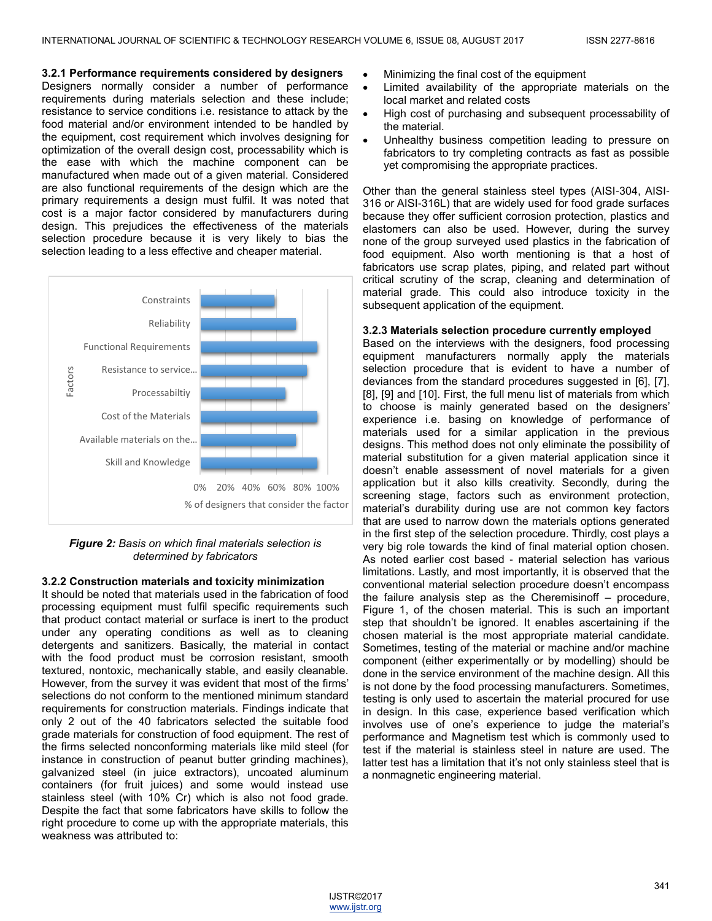## **3.2.1 Performance requirements considered by designers**

Designers normally consider a number of performance requirements during materials selection and these include; resistance to service conditions i.e. resistance to attack by the food material and/or environment intended to be handled by the equipment, cost requirement which involves designing for optimization of the overall design cost, processability which is the ease with which the machine component can be manufactured when made out of a given material. Considered are also functional requirements of the design which are the primary requirements a design must fulfil. It was noted that cost is a major factor considered by manufacturers during design. This prejudices the effectiveness of the materials selection procedure because it is very likely to bias the selection leading to a less effective and cheaper material.



# *Figure 2: Basis on which final materials selection is determined by fabricators*

# **3.2.2 Construction materials and toxicity minimization**

It should be noted that materials used in the fabrication of food processing equipment must fulfil specific requirements such that product contact material or surface is inert to the product under any operating conditions as well as to cleaning detergents and sanitizers. Basically, the material in contact with the food product must be corrosion resistant, smooth textured, nontoxic, mechanically stable, and easily cleanable. However, from the survey it was evident that most of the firms' selections do not conform to the mentioned minimum standard requirements for construction materials. Findings indicate that only 2 out of the 40 fabricators selected the suitable food grade materials for construction of food equipment. The rest of the firms selected nonconforming materials like mild steel (for instance in construction of peanut butter grinding machines), galvanized steel (in juice extractors), uncoated aluminum containers (for fruit juices) and some would instead use stainless steel (with 10% Cr) which is also not food grade. Despite the fact that some fabricators have skills to follow the right procedure to come up with the appropriate materials, this weakness was attributed to:

- Minimizing the final cost of the equipment
- Limited availability of the appropriate materials on the local market and related costs
- High cost of purchasing and subsequent processability of the material.
- Unhealthy business competition leading to pressure on fabricators to try completing contracts as fast as possible yet compromising the appropriate practices.

Other than the general stainless steel types (AISI-304, AISI-316 or AISI-316L) that are widely used for food grade surfaces because they offer sufficient corrosion protection, plastics and elastomers can also be used. However, during the survey none of the group surveyed used plastics in the fabrication of food equipment. Also worth mentioning is that a host of fabricators use scrap plates, piping, and related part without critical scrutiny of the scrap, cleaning and determination of material grade. This could also introduce toxicity in the subsequent application of the equipment.

# **3.2.3 Materials selection procedure currently employed**

Based on the interviews with the designers, food processing equipment manufacturers normally apply the materials selection procedure that is evident to have a number of deviances from the standard procedures suggested in [6], [7], [8], [9] and [10]. First, the full menu list of materials from which to choose is mainly generated based on the designers' experience i.e. basing on knowledge of performance of materials used for a similar application in the previous designs. This method does not only eliminate the possibility of material substitution for a given material application since it doesn't enable assessment of novel materials for a given application but it also kills creativity. Secondly, during the screening stage, factors such as environment protection, material's durability during use are not common key factors that are used to narrow down the materials options generated in the first step of the selection procedure. Thirdly, cost plays a very big role towards the kind of final material option chosen. As noted earlier cost based - material selection has various limitations. Lastly, and most importantly, it is observed that the conventional material selection procedure doesn't encompass the failure analysis step as the Cheremisinoff – procedure, Figure 1, of the chosen material. This is such an important step that shouldn't be ignored. It enables ascertaining if the chosen material is the most appropriate material candidate. Sometimes, testing of the material or machine and/or machine component (either experimentally or by modelling) should be done in the service environment of the machine design. All this is not done by the food processing manufacturers. Sometimes, testing is only used to ascertain the material procured for use in design. In this case, experience based verification which involves use of one's experience to judge the material's performance and Magnetism test which is commonly used to test if the material is stainless steel in nature are used. The latter test has a limitation that it's not only stainless steel that is a nonmagnetic engineering material.

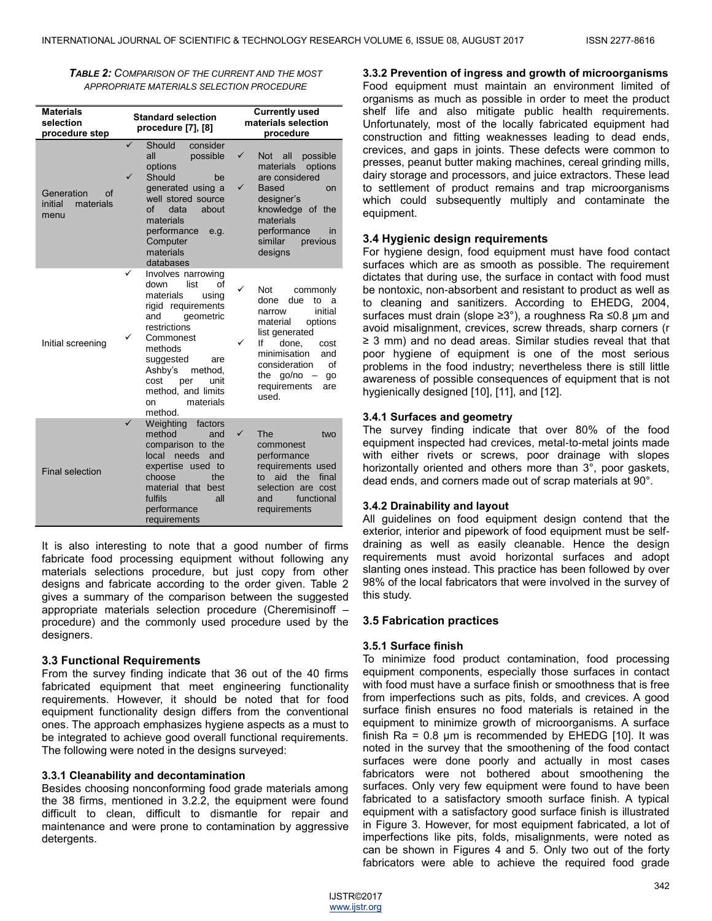*TABLE 2: COMPARISON OF THE CURRENT AND THE MOST APPROPRIATE MATERIALS SELECTION PROCEDURE*

| <b>Materials</b><br>selection<br>procedure step  | <b>Standard selection</b><br>procedure [7], [8]                                                                                                                                                                                                                                 | <b>Currently used</b><br>materials selection<br>procedure                                                                                                                                                                                 |  |  |  |
|--------------------------------------------------|---------------------------------------------------------------------------------------------------------------------------------------------------------------------------------------------------------------------------------------------------------------------------------|-------------------------------------------------------------------------------------------------------------------------------------------------------------------------------------------------------------------------------------------|--|--|--|
| Generation<br>Ωf<br>initial<br>materials<br>menu | ✓<br>Should<br>consider<br>all<br>possible<br>options<br>Should<br>be.<br>generated using a<br>well stored source<br>оf<br>data<br>about<br>materials<br>performance<br>e.g.<br>Computer<br>materials<br>databases                                                              | $\checkmark$<br>Not all<br>possible<br>materials<br>options<br>are considered<br>✓<br><b>Based</b><br>on<br>designer's<br>knowledge of the<br>materials<br>performance<br>in<br>similar<br>previous<br>designs                            |  |  |  |
| Initial screening                                | ✓<br>Involves narrowing<br>down<br>list<br>οf<br>materials<br>using<br>rigid requirements<br>geometric<br>and<br>restrictions<br>✓<br>Commonest<br>methods<br>suggested<br>are<br>Ashby's<br>method.<br>cost<br>per<br>unit<br>method, and limits<br>materials<br>on<br>method. | ✓<br>Not<br>commonly<br>done<br>due<br>to a<br>initial<br>narrow<br>material<br>options<br>list generated<br>✓<br>lf<br>done.<br>cost<br>minimisation<br>and<br>consideration<br>οf<br>go/no<br>the<br>go<br>requirements<br>are<br>used. |  |  |  |
| <b>Final selection</b>                           | Weighting<br>factors<br>method<br>and<br>comparison to the<br>local<br>needs<br>and<br>expertise used to<br>choose<br>the<br>material that best<br>fulfils<br>all<br>performance<br>requirements                                                                                | ✓<br>The<br>two<br>commonest<br>performance<br>requirements used<br>aid<br>the<br>to<br>final<br>selection are cost<br>functional<br>and<br>requirements                                                                                  |  |  |  |

It is also interesting to note that a good number of firms fabricate food processing equipment without following any materials selections procedure, but just copy from other designs and fabricate according to the order given. Table 2 gives a summary of the comparison between the suggested appropriate materials selection procedure (Cheremisinoff – procedure) and the commonly used procedure used by the designers.

# **3.3 Functional Requirements**

From the survey finding indicate that 36 out of the 40 firms fabricated equipment that meet engineering functionality requirements. However, it should be noted that for food equipment functionality design differs from the conventional ones. The approach emphasizes hygiene aspects as a must to be integrated to achieve good overall functional requirements. The following were noted in the designs surveyed:

# **3.3.1 Cleanability and decontamination**

Besides choosing nonconforming food grade materials among the 38 firms, mentioned in 3.2.2, the equipment were found difficult to clean, difficult to dismantle for repair and maintenance and were prone to contamination by aggressive detergents.

**3.3.2 Prevention of ingress and growth of microorganisms** Food equipment must maintain an environment limited of organisms as much as possible in order to meet the product shelf life and also mitigate public health requirements. Unfortunately, most of the locally fabricated equipment had construction and fitting weaknesses leading to dead ends, crevices, and gaps in joints. These defects were common to presses, peanut butter making machines, cereal grinding mills, dairy storage and processors, and juice extractors. These lead to settlement of product remains and trap microorganisms which could subsequently multiply and contaminate the equipment.

## **3.4 Hygienic design requirements**

For hygiene design, food equipment must have food contact surfaces which are as smooth as possible. The requirement dictates that during use, the surface in contact with food must be nontoxic, non-absorbent and resistant to product as well as to cleaning and sanitizers. According to EHEDG, 2004, surfaces must drain (slope ≥3°), a roughness Ra ≤0.8 µm and avoid misalignment, crevices, screw threads, sharp corners (r ≥ 3 mm) and no dead areas. Similar studies reveal that that poor hygiene of equipment is one of the most serious problems in the food industry; nevertheless there is still little awareness of possible consequences of equipment that is not hygienically designed [10], [11], and [12].

#### **3.4.1 Surfaces and geometry**

The survey finding indicate that over 80% of the food equipment inspected had crevices, metal-to-metal joints made with either rivets or screws, poor drainage with slopes horizontally oriented and others more than 3°, poor gaskets, dead ends, and corners made out of scrap materials at 90°.

#### **3.4.2 Drainability and layout**

All guidelines on food equipment design contend that the exterior, interior and pipework of food equipment must be selfdraining as well as easily cleanable. Hence the design requirements must avoid horizontal surfaces and adopt slanting ones instead. This practice has been followed by over 98% of the local fabricators that were involved in the survey of this study.

#### **3.5 Fabrication practices**

# **3.5.1 Surface finish**

To minimize food product contamination, food processing equipment components, especially those surfaces in contact with food must have a surface finish or smoothness that is free from imperfections such as pits, folds, and crevices. A good surface finish ensures no food materials is retained in the equipment to minimize growth of microorganisms. A surface finish Ra =  $0.8 \mu m$  is recommended by EHEDG [10]. It was noted in the survey that the smoothening of the food contact surfaces were done poorly and actually in most cases fabricators were not bothered about smoothening the surfaces. Only very few equipment were found to have been fabricated to a satisfactory smooth surface finish. A typical equipment with a satisfactory good surface finish is illustrated in Figure 3. However, for most equipment fabricated, a lot of imperfections like pits, folds, misalignments, were noted as can be shown in Figures 4 and 5. Only two out of the forty fabricators were able to achieve the required food grade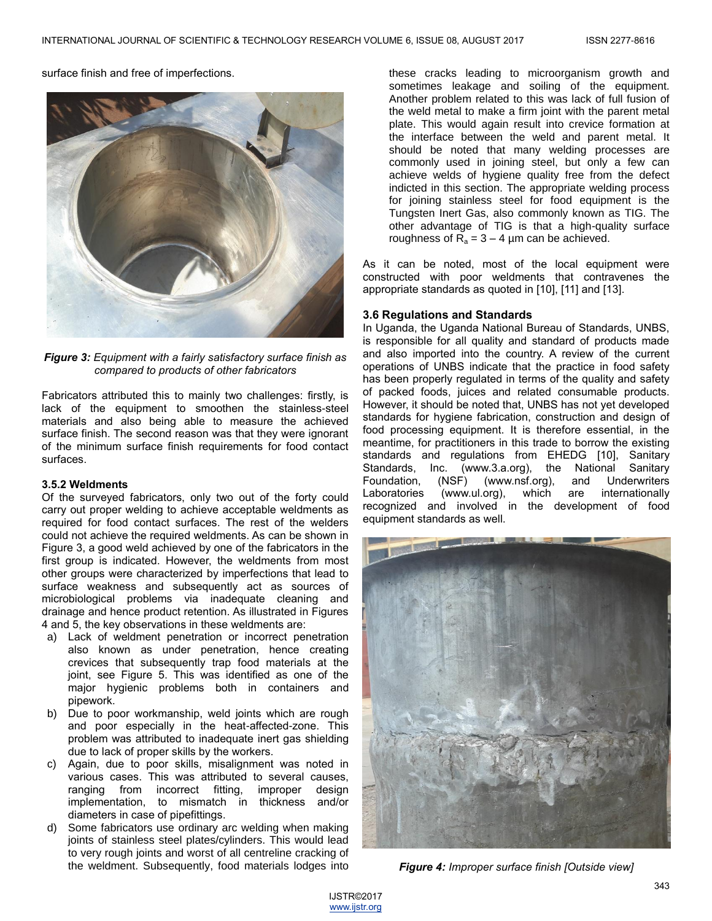surface finish and free of imperfections.



*Figure 3: Equipment with a fairly satisfactory surface finish as compared to products of other fabricators*

Fabricators attributed this to mainly two challenges: firstly, is lack of the equipment to smoothen the stainless-steel materials and also being able to measure the achieved surface finish. The second reason was that they were ignorant of the minimum surface finish requirements for food contact surfaces.

#### **3.5.2 Weldments**

Of the surveyed fabricators, only two out of the forty could carry out proper welding to achieve acceptable weldments as required for food contact surfaces. The rest of the welders could not achieve the required weldments. As can be shown in Figure 3, a good weld achieved by one of the fabricators in the first group is indicated. However, the weldments from most other groups were characterized by imperfections that lead to surface weakness and subsequently act as sources of microbiological problems via inadequate cleaning and drainage and hence product retention. As illustrated in Figures 4 and 5, the key observations in these weldments are:

- a) Lack of weldment penetration or incorrect penetration also known as under penetration, hence creating crevices that subsequently trap food materials at the joint, see Figure 5. This was identified as one of the major hygienic problems both in containers and pipework.
- b) Due to poor workmanship, weld joints which are rough and poor especially in the heat-affected-zone. This problem was attributed to inadequate inert gas shielding due to lack of proper skills by the workers.
- c) Again, due to poor skills, misalignment was noted in various cases. This was attributed to several causes, ranging from incorrect fitting, improper design implementation, to mismatch in thickness and/or diameters in case of pipefittings.
- d) Some fabricators use ordinary arc welding when making joints of stainless steel plates/cylinders. This would lead to very rough joints and worst of all centreline cracking of the weldment. Subsequently, food materials lodges into

these cracks leading to microorganism growth and sometimes leakage and soiling of the equipment. Another problem related to this was lack of full fusion of the weld metal to make a firm joint with the parent metal plate. This would again result into crevice formation at the interface between the weld and parent metal. It should be noted that many welding processes are commonly used in joining steel, but only a few can achieve welds of hygiene quality free from the defect indicted in this section. The appropriate welding process for joining stainless steel for food equipment is the Tungsten Inert Gas, also commonly known as TIG. The other advantage of TIG is that a high-quality surface roughness of  $\overline{R}_a = 3 - 4$  µm can be achieved.

As it can be noted, most of the local equipment were constructed with poor weldments that contravenes the appropriate standards as quoted in [10], [11] and [13].

# **3.6 Regulations and Standards**

In Uganda, the Uganda National Bureau of Standards, UNBS, is responsible for all quality and standard of products made and also imported into the country. A review of the current operations of UNBS indicate that the practice in food safety has been properly regulated in terms of the quality and safety of packed foods, juices and related consumable products. However, it should be noted that, UNBS has not yet developed standards for hygiene fabrication, construction and design of food processing equipment. It is therefore essential, in the meantime, for practitioners in this trade to borrow the existing standards and regulations from EHEDG [10], Sanitary Standards, Inc. [\(www.3.a.org\)](http://www.3.a.org/), the National Sanitary Foundation, (NSF) [\(www.nsf.org\)](http://www.nsf.org/), and Underwriters Laboratories [\(www.ul.org\)](http://www.ul.org/), which are internationally recognized and involved in the development of food equipment standards as well.



*Figure 4: Improper surface finish [Outside view]*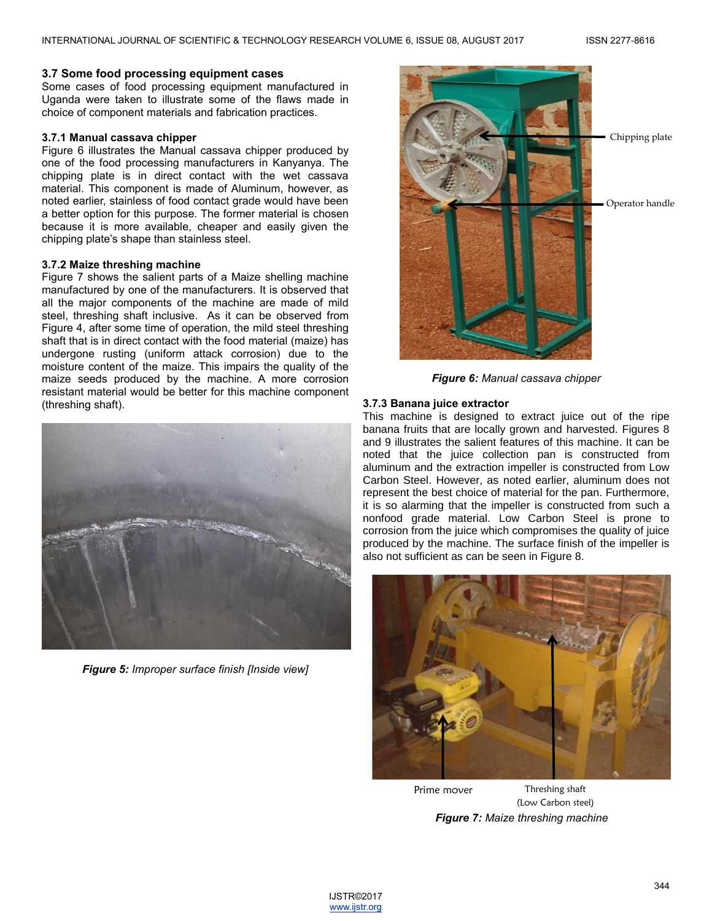## **3.7 Some food processing equipment cases**

Some cases of food processing equipment manufactured in Uganda were taken to illustrate some of the flaws made in choice of component materials and fabrication practices.

# **3.7.1 Manual cassava chipper**

Figure 6 illustrates the Manual cassava chipper produced by one of the food processing manufacturers in Kanyanya. The chipping plate is in direct contact with the wet cassava material. This component is made of Aluminum, however, as noted earlier, stainless of food contact grade would have been a better option for this purpose. The former material is chosen because it is more available, cheaper and easily given the chipping plate's shape than stainless steel.

## **3.7.2 Maize threshing machine**

Figure 7 shows the salient parts of a Maize shelling machine manufactured by one of the manufacturers. It is observed that all the major components of the machine are made of mild steel, threshing shaft inclusive. As it can be observed from Figure 4, after some time of operation, the mild steel threshing shaft that is in direct contact with the food material (maize) has undergone rusting (uniform attack corrosion) due to the moisture content of the maize. This impairs the quality of the maize seeds produced by the machine. A more corrosion resistant material would be better for this machine component (threshing shaft).



*Figure 5: Improper surface finish [Inside view]*



*Figure 6: Manual cassava chipper*

## **3.7.3 Banana juice extractor**

This machine is designed to extract juice out of the ripe banana fruits that are locally grown and harvested. Figures 8 and 9 illustrates the salient features of this machine. It can be noted that the juice collection pan is constructed from aluminum and the extraction impeller is constructed from Low Carbon Steel. However, as noted earlier, aluminum does not represent the best choice of material for the pan. Furthermore, it is so alarming that the impeller is constructed from such a nonfood grade material. Low Carbon Steel is prone to corrosion from the juice which compromises the quality of juice produced by the machine. The surface finish of the impeller is also not sufficient as can be seen in Figure 8.



*Figure 7: Maize threshing machine* Prime mover Threshing shaft (Low Carbon steel)

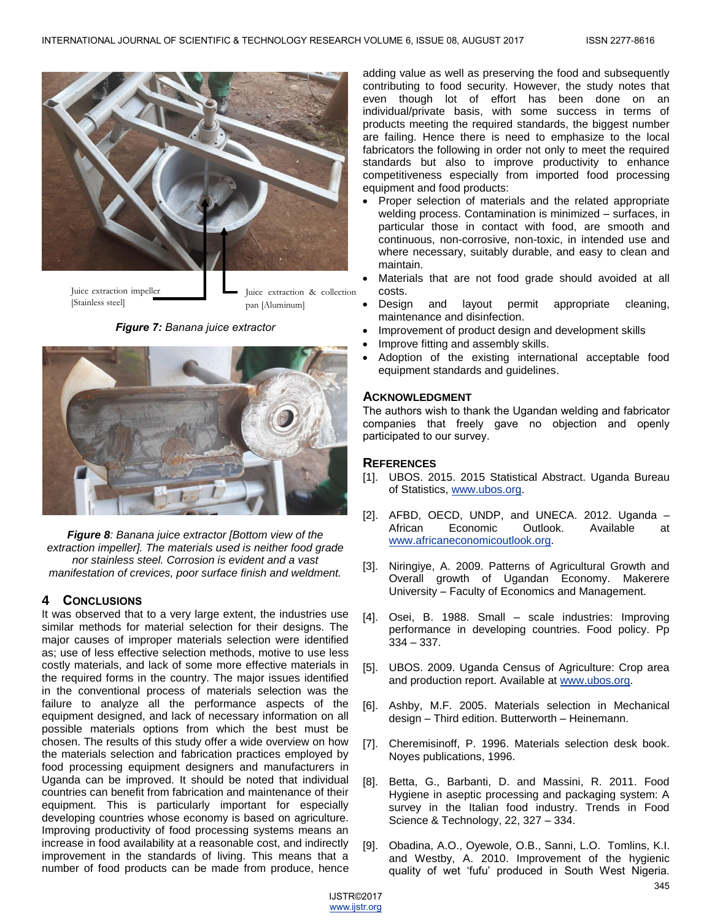

Juice extraction impeller [Stainless steel]

Juice extraction & collection pan [Aluminum]

*Figure 7: Banana juice extractor*



*Figure 8: Banana juice extractor [Bottom view of the extraction impeller]. The materials used is neither food grade nor stainless steel. Corrosion is evident and a vast manifestation of crevices, poor surface finish and weldment.*

# **4 CONCLUSIONS**

It was observed that to a very large extent, the industries use similar methods for material selection for their designs. The major causes of improper materials selection were identified as; use of less effective selection methods, motive to use less costly materials, and lack of some more effective materials in the required forms in the country. The major issues identified in the conventional process of materials selection was the failure to analyze all the performance aspects of the equipment designed, and lack of necessary information on all possible materials options from which the best must be chosen. The results of this study offer a wide overview on how the materials selection and fabrication practices employed by food processing equipment designers and manufacturers in Uganda can be improved. It should be noted that individual countries can benefit from fabrication and maintenance of their equipment. This is particularly important for especially developing countries whose economy is based on agriculture. Improving productivity of food processing systems means an increase in food availability at a reasonable cost, and indirectly improvement in the standards of living. This means that a number of food products can be made from produce, hence

adding value as well as preserving the food and subsequently contributing to food security. However, the study notes that even though lot of effort has been done on an individual/private basis, with some success in terms of products meeting the required standards, the biggest number are failing. Hence there is need to emphasize to the local fabricators the following in order not only to meet the required standards but also to improve productivity to enhance competitiveness especially from imported food processing equipment and food products:

- Proper selection of materials and the related appropriate welding process. Contamination is minimized – surfaces, in particular those in contact with food, are smooth and continuous, non-corrosive, non-toxic, in intended use and where necessary, suitably durable, and easy to clean and maintain.
- Materials that are not food grade should avoided at all costs.
- Design and layout permit appropriate cleaning, maintenance and disinfection.
- Improvement of product design and development skills
- Improve fitting and assembly skills.
- Adoption of the existing international acceptable food equipment standards and guidelines.

# **ACKNOWLEDGMENT**

The authors wish to thank the Ugandan welding and fabricator companies that freely gave no objection and openly participated to our survey.

# **REFERENCES**

- [1]. UBOS. 2015. 2015 Statistical Abstract. Uganda Bureau of Statistics, [www.ubos.org.](http://www.ubos.org/)
- [2]. AFBD, OECD, UNDP, and UNECA. 2012. Uganda African Economic Outlook. Available at [www.africaneconomicoutlook.org.](http://www.africaneconomicoutlook.org/)
- [3]. Niringiye, A. 2009. Patterns of Agricultural Growth and Overall growth of Ugandan Economy. Makerere University – Faculty of Economics and Management.
- [4]. Osei, B. 1988. Small scale industries: Improving performance in developing countries. Food policy. Pp 334 – 337.
- [5]. UBOS. 2009. Uganda Census of Agriculture: Crop area and production report. Available a[t www.ubos.org.](http://www.ubos.org/)
- [6]. Ashby, M.F. 2005. Materials selection in Mechanical design – Third edition. Butterworth – Heinemann.
- [7]. Cheremisinoff, P. 1996. Materials selection desk book. Noyes publications, 1996.
- [8]. Betta, G., Barbanti, D. and Massini, R. 2011. Food Hygiene in aseptic processing and packaging system: A survey in the Italian food industry. Trends in Food Science & Technology, 22, 327 – 334.
- [9]. Obadina, A.O., Oyewole, O.B., Sanni, L.O. Tomlins, K.I. and Westby, A. 2010. Improvement of the hygienic quality of wet 'fufu' produced in South West Nigeria.